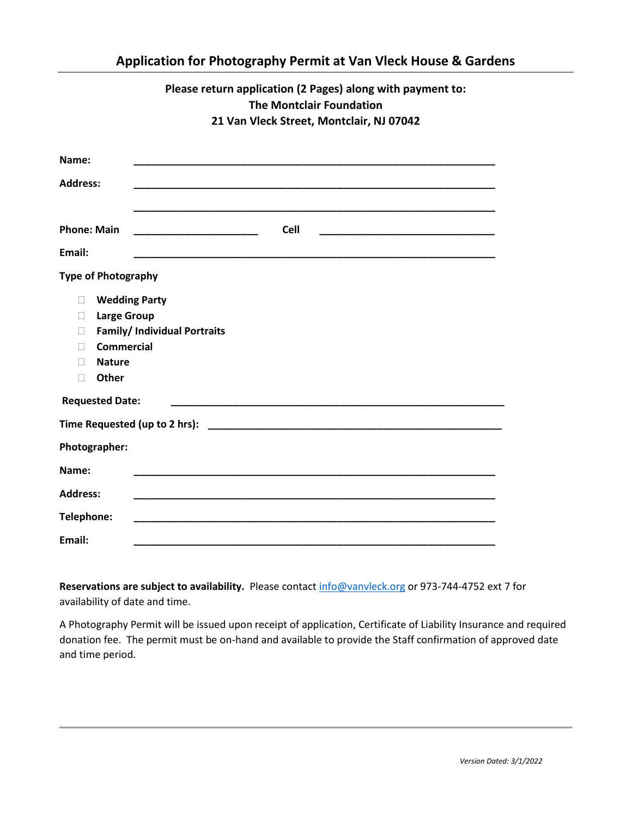|                                                                                                                                                       | Please return application (2 Pages) along with payment to:<br><b>The Montclair Foundation</b><br>21 Van Vleck Street, Montclair, NJ 07042 |
|-------------------------------------------------------------------------------------------------------------------------------------------------------|-------------------------------------------------------------------------------------------------------------------------------------------|
| Name:<br><b>Address:</b>                                                                                                                              |                                                                                                                                           |
| <b>Phone: Main</b><br>Email:                                                                                                                          | <b>Cell</b><br><u> 1999 - Johann John Stone, mars et al. (</u>                                                                            |
| <b>Type of Photography</b><br><b>Wedding Party</b><br>П<br><b>Large Group</b><br>П<br>П<br><b>Commercial</b><br>П<br><b>Nature</b><br>П<br>Other<br>П | <b>Family/ Individual Portraits</b>                                                                                                       |
| <b>Requested Date:</b>                                                                                                                                |                                                                                                                                           |
|                                                                                                                                                       |                                                                                                                                           |
| Photographer:                                                                                                                                         |                                                                                                                                           |
| Name:                                                                                                                                                 |                                                                                                                                           |
| <b>Address:</b>                                                                                                                                       |                                                                                                                                           |
| Telephone:                                                                                                                                            |                                                                                                                                           |
| Email:                                                                                                                                                |                                                                                                                                           |

**Application for Photography Permit at Van Vleck House & Gardens**

**Reservations are subject to availability.** Please contact [info@vanvleck.org](mailto:info@vanvleck.org) or 973-744-4752 ext 7 for availability of date and time.

A Photography Permit will be issued upon receipt of application, Certificate of Liability Insurance and required donation fee. The permit must be on-hand and available to provide the Staff confirmation of approved date and time period.